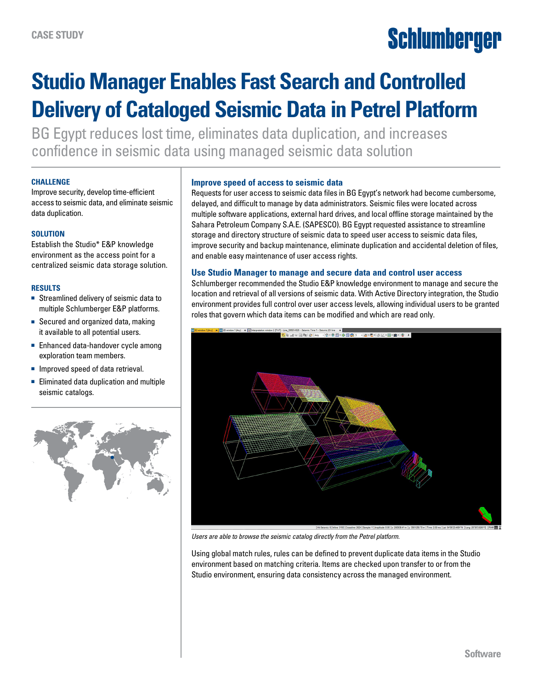# Schlumberger

## **Studio Manager Enables Fast Search and Controlled Delivery of Cataloged Seismic Data in Petrel Platform**

BG Egypt reduces lost time, eliminates data duplication, and increases confidence in seismic data using managed seismic data solution

#### **CHALLENGE**

Improve security, develop time-efficient access to seismic data, and eliminate seismic data duplication.

### **SOLUTION**

Establish the Studio\* E&P knowledge environment as the access point for a centralized seismic data storage solution.

#### **RESULTS**

- Streamlined delivery of seismic data to multiple Schlumberger E&P platforms.
- Secured and organized data, making it available to all potential users.
- Enhanced data-handover cycle among exploration team members.
- Improved speed of data retrieval.
- Eliminated data duplication and multiple seismic catalogs.



#### **Improve speed of access to seismic data**

Requests for user access to seismic data files in BG Egypt's network had become cumbersome, delayed, and difficult to manage by data administrators. Seismic files were located across multiple software applications, external hard drives, and local offline storage maintained by the Sahara Petroleum Company S.A.E. (SAPESCO). BG Egypt requested assistance to streamline storage and directory structure of seismic data to speed user access to seismic data files, improve security and backup maintenance, eliminate duplication and accidental deletion of files, and enable easy maintenance of user access rights.

#### **Use Studio Manager to manage and secure data and control user access**

Schlumberger recommended the Studio E&P knowledge environment to manage and secure the location and retrieval of all versions of seismic data. With Active Directory integration, the Studio environment provides full control over user access levels, allowing individual users to be granted roles that govern which data items can be modified and which are read only.



*Users are able to browse the seismic catalog directly from the Petrel platform.* 

Using global match rules, rules can be defined to prevent duplicate data items in the Studio environment based on matching criteria. Items are checked upon transfer to or from the Studio environment, ensuring data consistency across the managed environment.